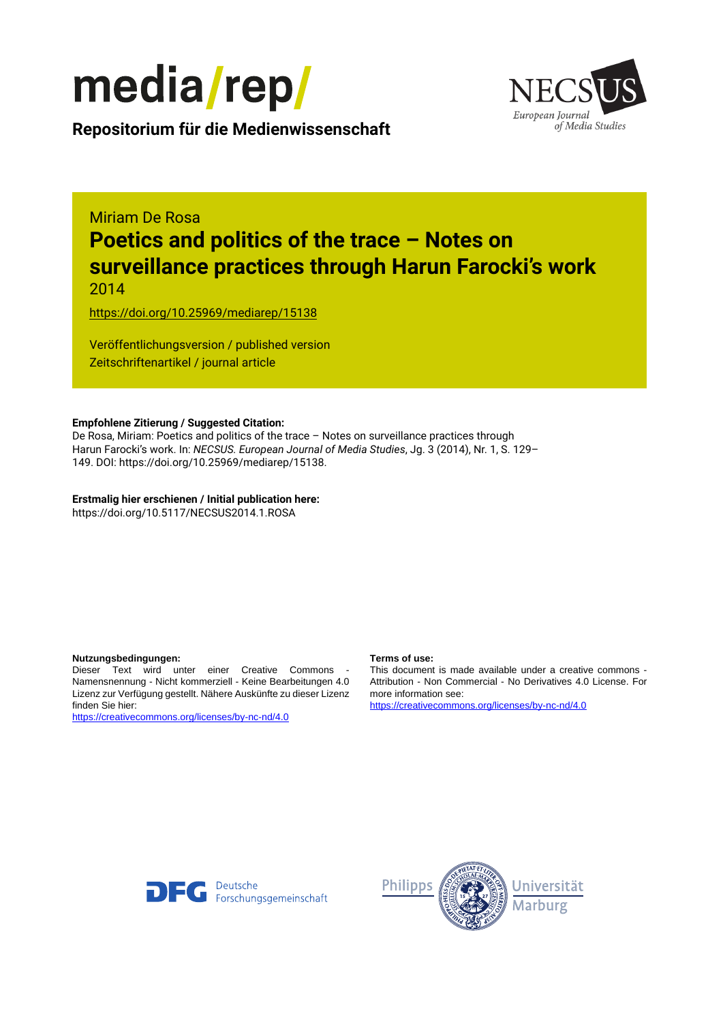

European Journal of Media Studies

**Repositorium für die [Medienwissenschaft](https://mediarep.org)**

# Miriam De Rosa **Poetics and politics of the trace – Notes on surveillance practices through Harun Farocki's work** 2014

<https://doi.org/10.25969/mediarep/15138>

Veröffentlichungsversion / published version Zeitschriftenartikel / journal article

#### **Empfohlene Zitierung / Suggested Citation:**

De Rosa, Miriam: Poetics and politics of the trace – Notes on surveillance practices through Harun Farocki's work. In: *NECSUS. European Journal of Media Studies*, Jg. 3 (2014), Nr. 1, S. 129– 149. DOI: https://doi.org/10.25969/mediarep/15138.

**Erstmalig hier erschienen / Initial publication here:** https://doi.org/10.5117/NECSUS2014.1.ROSA

#### **Nutzungsbedingungen: Terms of use:**

Dieser Text wird unter einer Creative Commons - Namensnennung - Nicht kommerziell - Keine Bearbeitungen 4.0 Lizenz zur Verfügung gestellt. Nähere Auskünfte zu dieser Lizenz finden Sie hier:

<https://creativecommons.org/licenses/by-nc-nd/4.0>

This document is made available under a creative commons - Attribution - Non Commercial - No Derivatives 4.0 License. For more information see:

<https://creativecommons.org/licenses/by-nc-nd/4.0>



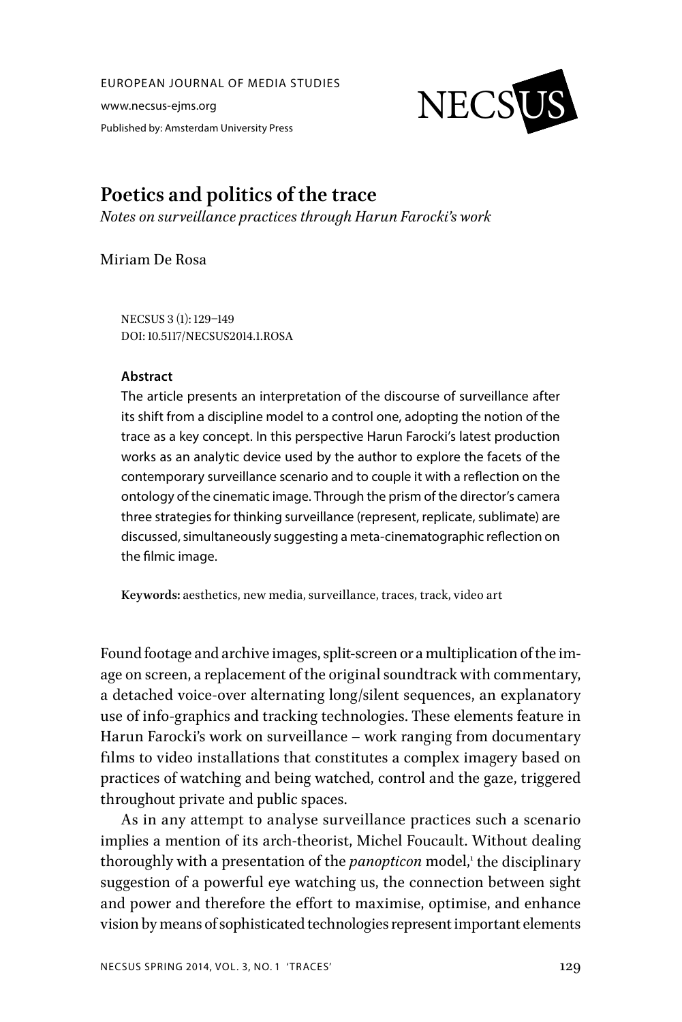EUROPEAN JOURNAL OF MEDIA STUDIES

www.necsus-ejms.org Published by: Amsterdam University Press



# **Poetics and politics of the trace**

*Notes on surveillance practices through Harun Farocki's work*

Miriam De Rosa

NECSUS 3 (1): 129–149 DOI: 10.5117/NECSUS2014.1.ROSA

#### **Abstract**

The article presents an interpretation of the discourse of surveillance after its shift from a discipline model to a control one, adopting the notion of the trace as a key concept. In this perspective Harun Farocki's latest production works as an analytic device used by the author to explore the facets of the contemporary surveillance scenario and to couple it with a reflection on the ontology of the cinematic image. Through the prism of the director's camera three strategies for thinking surveillance (represent, replicate, sublimate) are discussed, simultaneously suggesting a meta-cinematographic reflection on the filmic image.

**Keywords:** aesthetics, new media, surveillance, traces, track, video art

Found footage and archive images, split-screen or a multiplication of the image on screen, a replacement of the original soundtrack with commentary, a detached voice-over alternating long/silent sequences, an explanatory use of info-graphics and tracking technologies. These elements feature in Harun Farocki's work on surveillance – work ranging from documentary films to video installations that constitutes a complex imagery based on practices of watching and being watched, control and the gaze, triggered throughout private and public spaces.

As in any attempt to analyse surveillance practices such a scenario implies a mention of its arch-theorist, Michel Foucault. Without dealing thoroughly with a presentation of the *panopticon* model,<sup>1</sup> the disciplinary suggestion of a powerful eye watching us, the connection between sight and power and therefore the effort to maximise, optimise, and enhance vision by means of sophisticated technologies represent important elements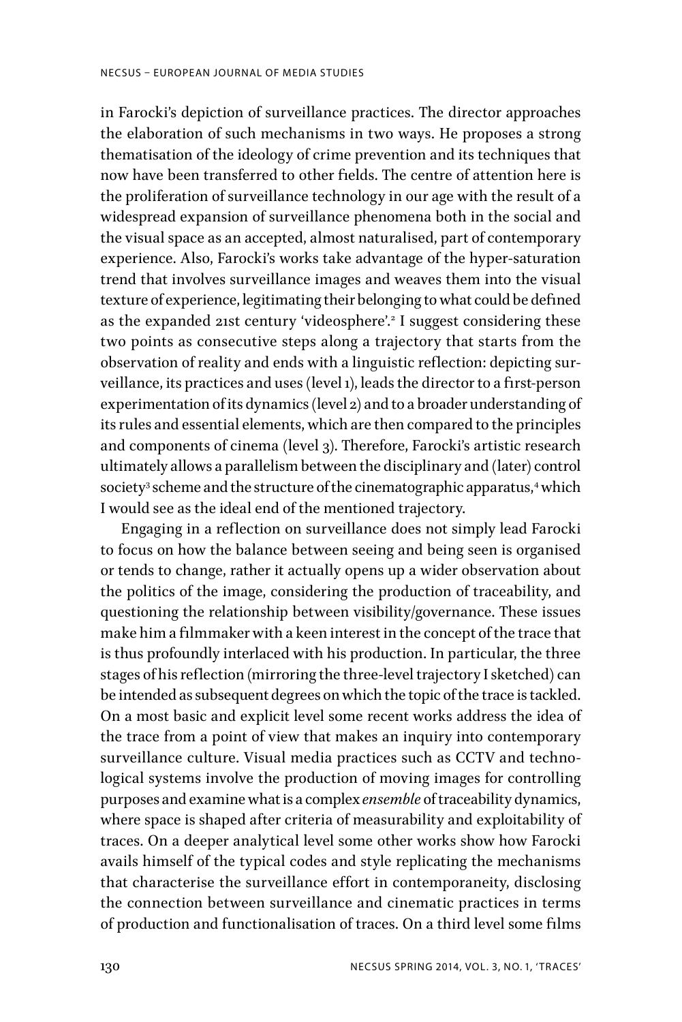in Farocki's depiction of surveillance practices. The director approaches the elaboration of such mechanisms in two ways. He proposes a strong thematisation of the ideology of crime prevention and its techniques that now have been transferred to other fields. The centre of attention here is the proliferation of surveillance technology in our age with the result of a widespread expansion of surveillance phenomena both in the social and the visual space as an accepted, almost naturalised, part of contemporary experience. Also, Farocki's works take advantage of the hyper-saturation trend that involves surveillance images and weaves them into the visual texture of experience, legitimating their belonging to what could be defined as the expanded 21st century 'videosphere'.<sup>2</sup> I suggest considering these two points as consecutive steps along a trajectory that starts from the observation of reality and ends with a linguistic reflection: depicting surveillance, its practices and uses (level 1), leads the director to a first-person experimentation of its dynamics (level 2) and to a broader understanding of its rules and essential elements, which are then compared to the principles and components of cinema (level 3). Therefore, Farocki's artistic research ultimately allows a parallelism between the disciplinary and (later) control society<sup>3</sup> scheme and the structure of the cinematographic apparatus,<sup>4</sup> which I would see as the ideal end of the mentioned trajectory.

Engaging in a reflection on surveillance does not simply lead Farocki to focus on how the balance between seeing and being seen is organised or tends to change, rather it actually opens up a wider observation about the politics of the image, considering the production of traceability, and questioning the relationship between visibility/governance. These issues make him a filmmaker with a keen interest in the concept of the trace that is thus profoundly interlaced with his production. In particular, the three stages of his reflection (mirroring the three-level trajectory I sketched) can be intended as subsequent degrees on which the topic of the trace is tackled. On a most basic and explicit level some recent works address the idea of the trace from a point of view that makes an inquiry into contemporary surveillance culture. Visual media practices such as CCTV and technological systems involve the production of moving images for controlling purposes and examine what is a complex *ensemble* of traceability dynamics, where space is shaped after criteria of measurability and exploitability of traces. On a deeper analytical level some other works show how Farocki avails himself of the typical codes and style replicating the mechanisms that characterise the surveillance effort in contemporaneity, disclosing the connection between surveillance and cinematic practices in terms of production and functionalisation of traces. On a third level some films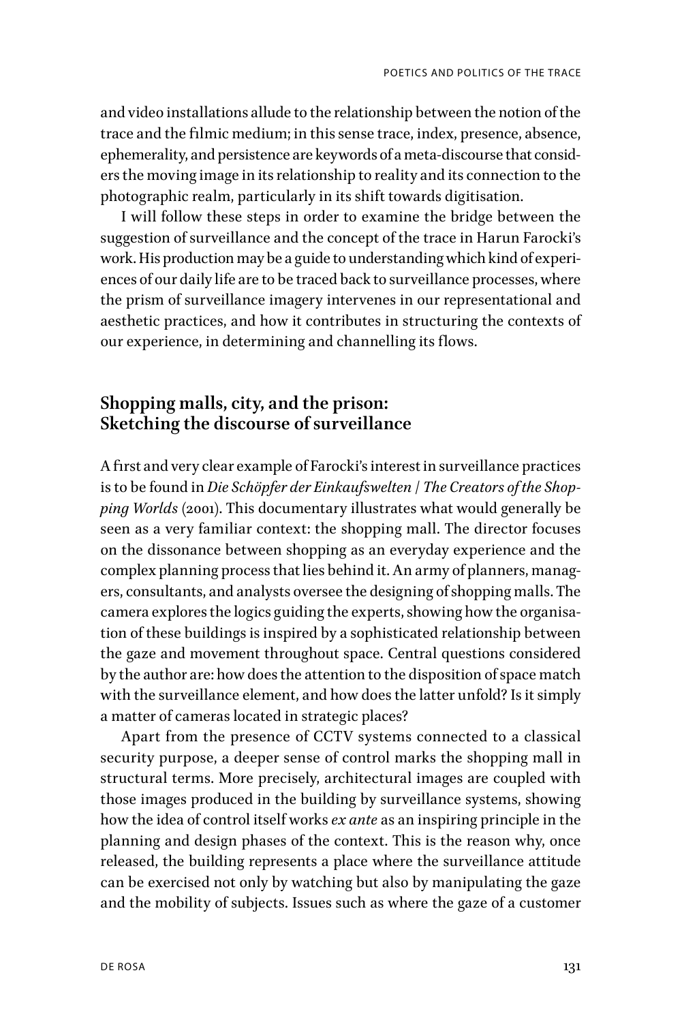and video installations allude to the relationship between the notion of the trace and the filmic medium; in this sense trace, index, presence, absence, ephemerality, and persistence are keywords of a meta-discourse that considers the moving image in its relationship to reality and its connection to the photographic realm, particularly in its shift towards digitisation.

I will follow these steps in order to examine the bridge between the suggestion of surveillance and the concept of the trace in Harun Farocki's work. His production may be a guide to understanding which kind of experiences of our daily life are to be traced back to surveillance processes, where the prism of surveillance imagery intervenes in our representational and aesthetic practices, and how it contributes in structuring the contexts of our experience, in determining and channelling its flows.

# **Shopping malls, city, and the prison: Sketching the discourse of surveillance**

A first and very clear example of Farocki's interest in surveillance practices is to be found in *Die Schöpfer der Einkaufswelten* / *The Creators of the Shopping Worlds* (2001). This documentary illustrates what would generally be seen as a very familiar context: the shopping mall. The director focuses on the dissonance between shopping as an everyday experience and the complex planning process that lies behind it. An army of planners, managers, consultants, and analysts oversee the designing of shopping malls. The camera explores the logics guiding the experts, showing how the organisation of these buildings is inspired by a sophisticated relationship between the gaze and movement throughout space. Central questions considered by the author are: how does the attention to the disposition of space match with the surveillance element, and how does the latter unfold? Is it simply a matter of cameras located in strategic places?

Apart from the presence of CCTV systems connected to a classical security purpose, a deeper sense of control marks the shopping mall in structural terms. More precisely, architectural images are coupled with those images produced in the building by surveillance systems, showing how the idea of control itself works *ex ante* as an inspiring principle in the planning and design phases of the context. This is the reason why, once released, the building represents a place where the surveillance attitude can be exercised not only by watching but also by manipulating the gaze and the mobility of subjects. Issues such as where the gaze of a customer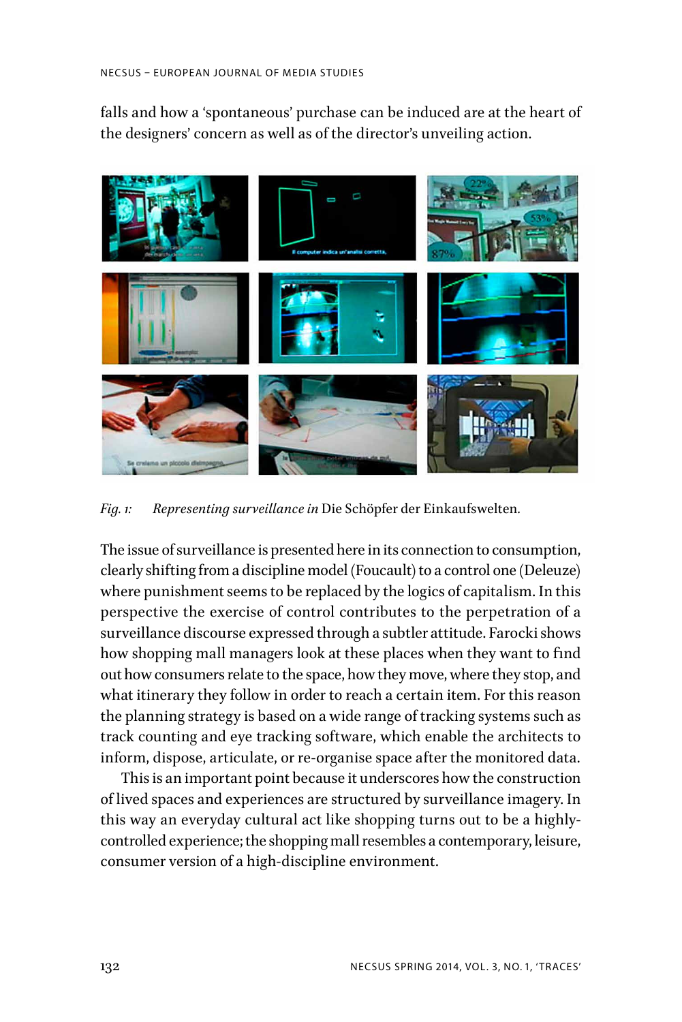falls and how a 'spontaneous' purchase can be induced are at the heart of the designers' concern as well as of the director's unveiling action.



*Fig. 1: Representing surveillance in* Die Schöpfer der Einkaufswelten*.*

The issue of surveillance is presented here in its connection to consumption, clearly shifting from a discipline model (Foucault) to a control one (Deleuze) where punishment seems to be replaced by the logics of capitalism. In this perspective the exercise of control contributes to the perpetration of a surveillance discourse expressed through a subtler attitude. Farocki shows how shopping mall managers look at these places when they want to find out how consumers relate to the space, how they move, where they stop, and what itinerary they follow in order to reach a certain item. For this reason the planning strategy is based on a wide range of tracking systems such as track counting and eye tracking software, which enable the architects to inform, dispose, articulate, or re-organise space after the monitored data.

This is an important point because it underscores how the construction of lived spaces and experiences are structured by surveillance imagery. In this way an everyday cultural act like shopping turns out to be a highlycontrolled experience; the shopping mall resembles a contemporary, leisure, consumer version of a high-discipline environment.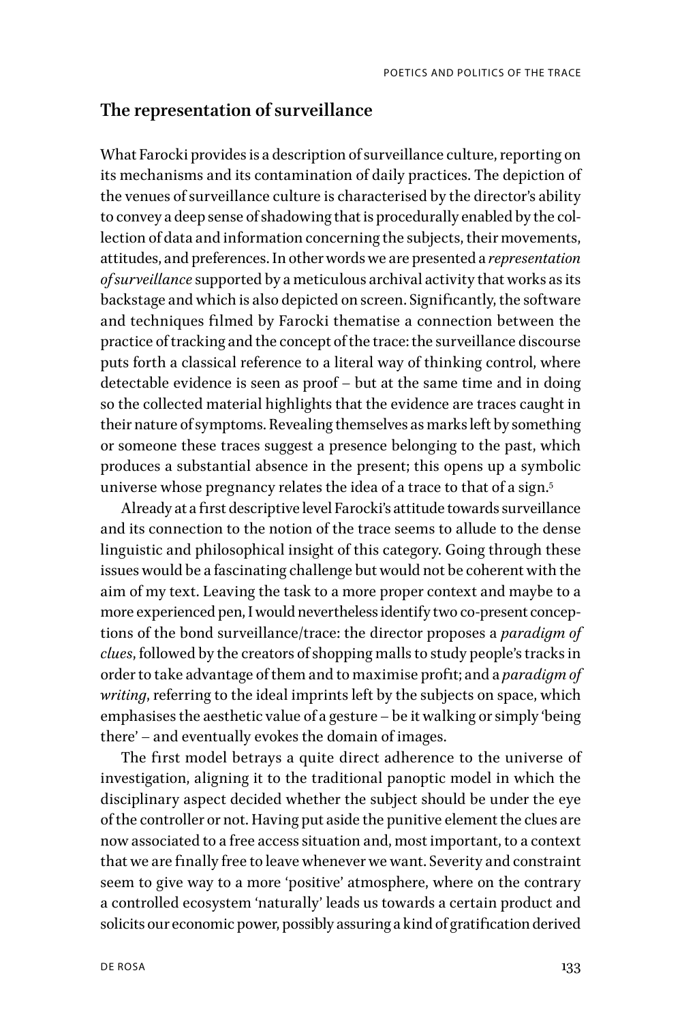#### **The representation of surveillance**

What Farocki provides is a description of surveillance culture, reporting on its mechanisms and its contamination of daily practices. The depiction of the venues of surveillance culture is characterised by the director's ability to convey a deep sense of shadowing that is procedurally enabled by the collection of data and information concerning the subjects, their movements, attitudes, and preferences. In other words we are presented a *representation of surveillance* supported by a meticulous archival activity that works as its backstage and which is also depicted on screen. Significantly, the software and techniques filmed by Farocki thematise a connection between the practice of tracking and the concept of the trace: the surveillance discourse puts forth a classical reference to a literal way of thinking control, where detectable evidence is seen as proof – but at the same time and in doing so the collected material highlights that the evidence are traces caught in their nature of symptoms. Revealing themselves as marks left by something or someone these traces suggest a presence belonging to the past, which produces a substantial absence in the present; this opens up a symbolic universe whose pregnancy relates the idea of a trace to that of a sign.<sup>5</sup>

Already at a first descriptive level Farocki's attitude towards surveillance and its connection to the notion of the trace seems to allude to the dense linguistic and philosophical insight of this category. Going through these issues would be a fascinating challenge but would not be coherent with the aim of my text. Leaving the task to a more proper context and maybe to a more experienced pen, I would nevertheless identify two co-present conceptions of the bond surveillance/trace: the director proposes a *paradigm of clues*, followed by the creators of shopping malls to study people's tracks in order to take advantage of them and to maximise profit; and a *paradigm of writing*, referring to the ideal imprints left by the subjects on space, which emphasises the aesthetic value of a gesture – be it walking or simply 'being there' – and eventually evokes the domain of images.

The first model betrays a quite direct adherence to the universe of investigation, aligning it to the traditional panoptic model in which the disciplinary aspect decided whether the subject should be under the eye of the controller or not. Having put aside the punitive element the clues are now associated to a free access situation and, most important, to a context that we are finally free to leave whenever we want. Severity and constraint seem to give way to a more 'positive' atmosphere, where on the contrary a controlled ecosystem 'naturally' leads us towards a certain product and solicits our economic power, possibly assuring a kind of gratification derived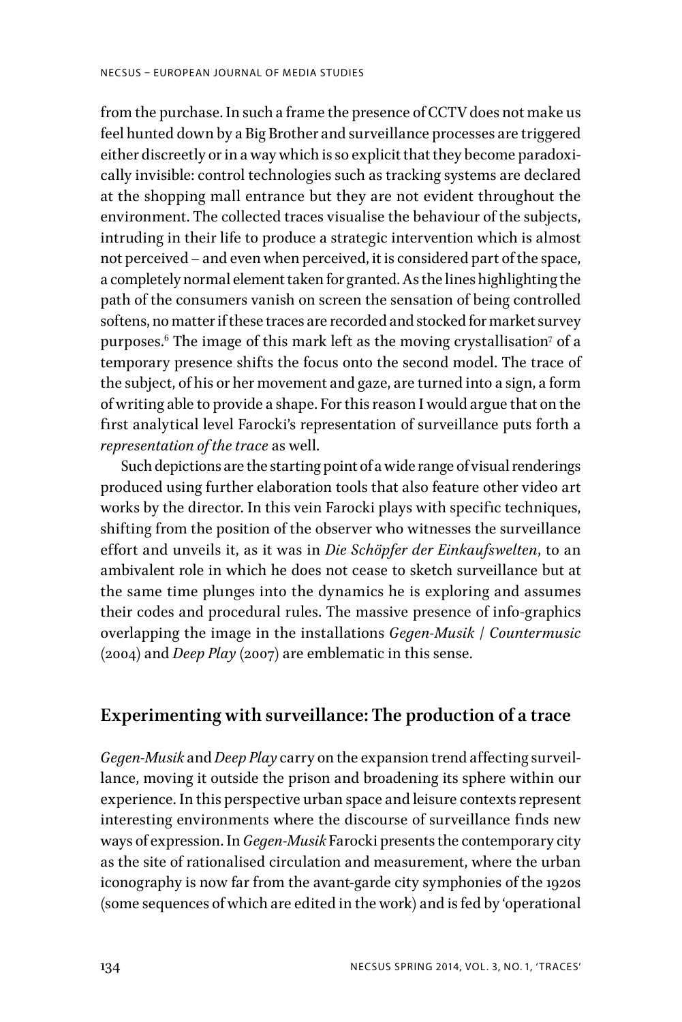from the purchase. In such a frame the presence of CCTV does not make us feel hunted down by a Big Brother and surveillance processes are triggered either discreetly or in a way which is so explicit that they become paradoxically invisible: control technologies such as tracking systems are declared at the shopping mall entrance but they are not evident throughout the environment. The collected traces visualise the behaviour of the subjects, intruding in their life to produce a strategic intervention which is almost not perceived – and even when perceived, it is considered part of the space, a completely normal element taken for granted. As the lines highlighting the path of the consumers vanish on screen the sensation of being controlled softens, no matter if these traces are recorded and stocked for market survey purposes. $^6$  The image of this mark left as the moving crystallisation $^7$  of a temporary presence shifts the focus onto the second model. The trace of the subject, of his or her movement and gaze, are turned into a sign, a form of writing able to provide a shape. For this reason I would argue that on the first analytical level Farocki's representation of surveillance puts forth a *representation of the trace* as well.

Such depictions are the starting point of a wide range of visual renderings produced using further elaboration tools that also feature other video art works by the director. In this vein Farocki plays with specific techniques, shifting from the position of the observer who witnesses the surveillance effort and unveils it, as it was in *Die Schöpfer der Einkaufswelten*, to an ambivalent role in which he does not cease to sketch surveillance but at the same time plunges into the dynamics he is exploring and assumes their codes and procedural rules. The massive presence of info-graphics overlapping the image in the installations *Gegen-Musik* / *Countermusic* (2004) and *Deep Play* (2007) are emblematic in this sense.

#### **Experimenting with surveillance: The production of a trace**

*Gegen-Musik* and *Deep Play* carry on the expansion trend affecting surveillance, moving it outside the prison and broadening its sphere within our experience. In this perspective urban space and leisure contexts represent interesting environments where the discourse of surveillance finds new ways of expression. In *Gegen-Musik* Farocki presents the contemporary city as the site of rationalised circulation and measurement, where the urban iconography is now far from the avant-garde city symphonies of the 1920s (some sequences of which are edited in the work) and is fed by 'operational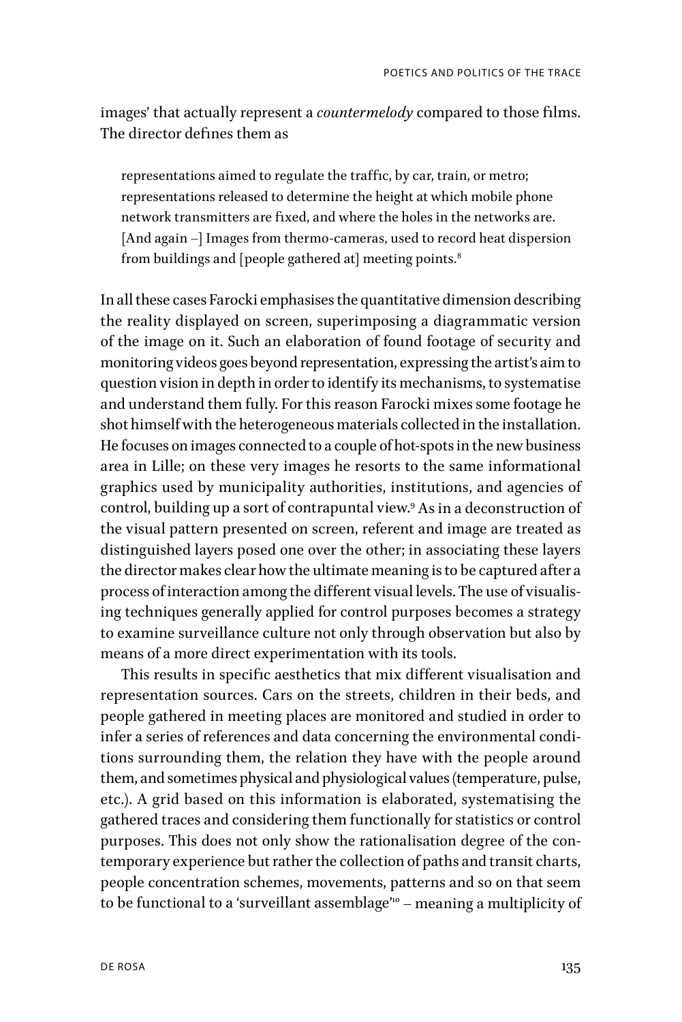images' that actually represent a *countermelody* compared to those films. The director defines them as

representations aimed to regulate the traffic, by car, train, or metro; representations released to determine the height at which mobile phone network transmitters are fixed, and where the holes in the networks are. [And again –] Images from thermo-cameras, used to record heat dispersion from buildings and [people gathered at] meeting points.<sup>8</sup>

In all these cases Farocki emphasises the quantitative dimension describing the reality displayed on screen, superimposing a diagrammatic version of the image on it. Such an elaboration of found footage of security and monitoring videos goes beyond representation, expressing the artist's aim to question vision in depth in order to identify its mechanisms, to systematise and understand them fully. For this reason Farocki mixes some footage he shot himself with the heterogeneous materials collected in the installation. He focuses on images connected to a couple of hot-spots in the new business area in Lille; on these very images he resorts to the same informational graphics used by municipality authorities, institutions, and agencies of control, building up a sort of contrapuntal view.9 As in a deconstruction of the visual pattern presented on screen, referent and image are treated as distinguished layers posed one over the other; in associating these layers the director makes clear how the ultimate meaning is to be captured after a process of interaction among the different visual levels. The use of visualising techniques generally applied for control purposes becomes a strategy to examine surveillance culture not only through observation but also by means of a more direct experimentation with its tools.

This results in specific aesthetics that mix different visualisation and representation sources. Cars on the streets, children in their beds, and people gathered in meeting places are monitored and studied in order to infer a series of references and data concerning the environmental conditions surrounding them, the relation they have with the people around them, and sometimes physical and physiological values (temperature, pulse, etc.). A grid based on this information is elaborated, systematising the gathered traces and considering them functionally for statistics or control purposes. This does not only show the rationalisation degree of the contemporary experience but rather the collection of paths and transit charts, people concentration schemes, movements, patterns and so on that seem to be functional to a 'surveillant assemblage"<sup>0</sup> - meaning a multiplicity of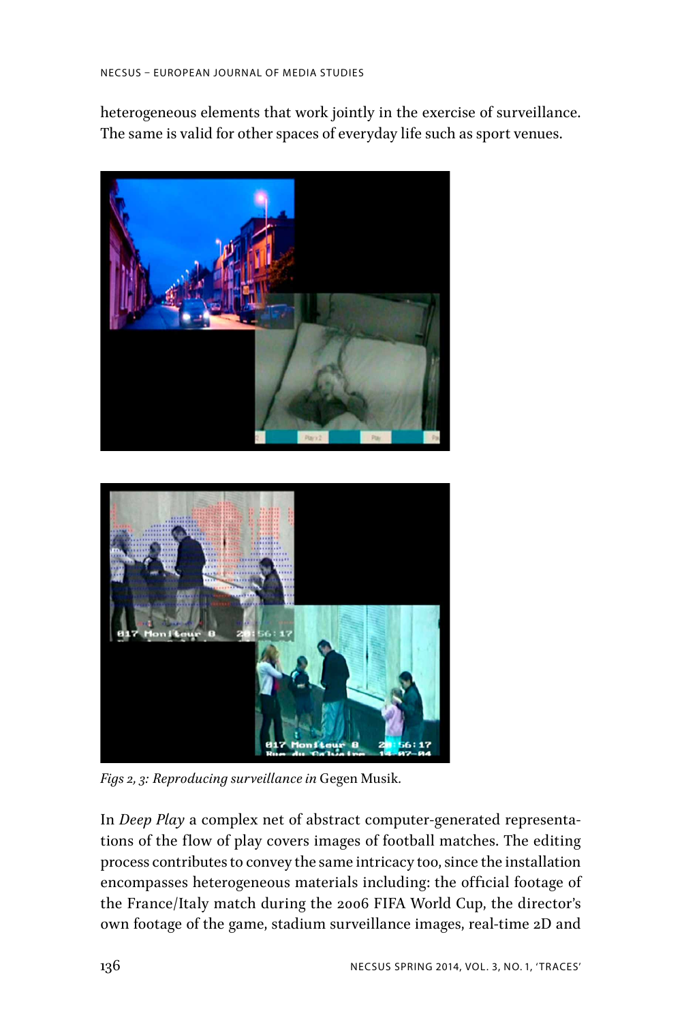heterogeneous elements that work jointly in the exercise of surveillance. The same is valid for other spaces of everyday life such as sport venues.





*Figs 2, 3: Reproducing surveillance in* Gegen Musik*.*

In *Deep Play* a complex net of abstract computer-generated representations of the flow of play covers images of football matches. The editing process contributes to convey the same intricacy too, since the installation encompasses heterogeneous materials including: the official footage of the France/Italy match during the 2006 FIFA World Cup, the director's own footage of the game, stadium surveillance images, real-time 2D and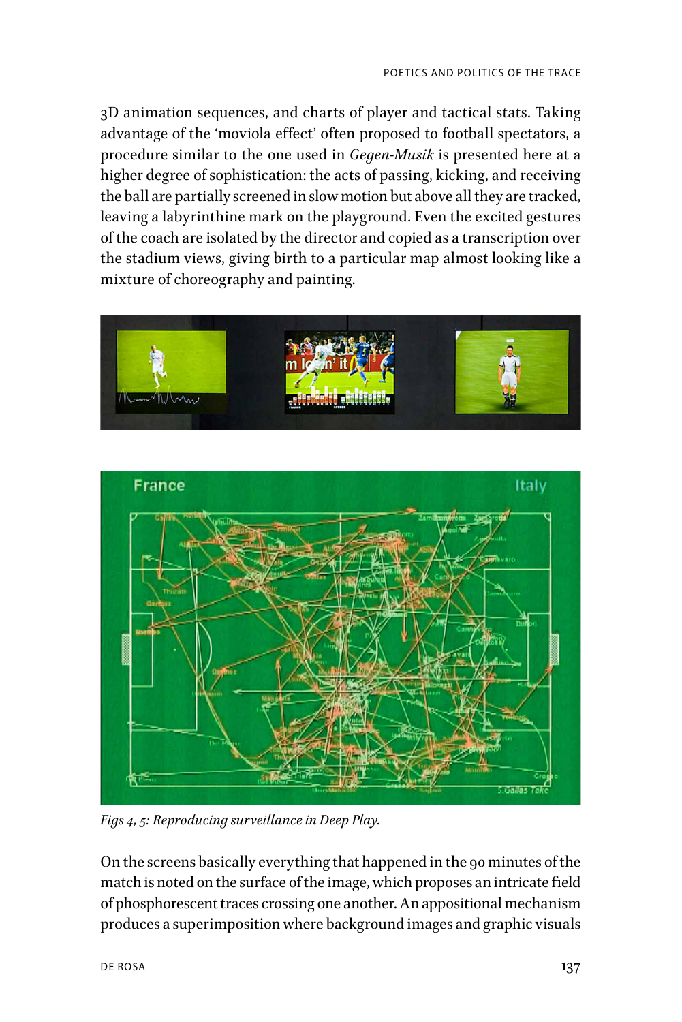3D animation sequences, and charts of player and tactical stats. Taking advantage of the 'moviola effect' often proposed to football spectators, a procedure similar to the one used in *Gegen-Musik* is presented here at a higher degree of sophistication: the acts of passing, kicking, and receiving the ball are partially screened in slow motion but above all they are tracked, leaving a labyrinthine mark on the playground. Even the excited gestures of the coach are isolated by the director and copied as a transcription over the stadium views, giving birth to a particular map almost looking like a mixture of choreography and painting.





*Figs 4, 5: Reproducing surveillance in Deep Play.*

On the screens basically everything that happened in the 90 minutes of the match is noted on the surface of the image, which proposes an intricate field of phosphorescent traces crossing one another. An appositional mechanism produces a superimposition where background images and graphic visuals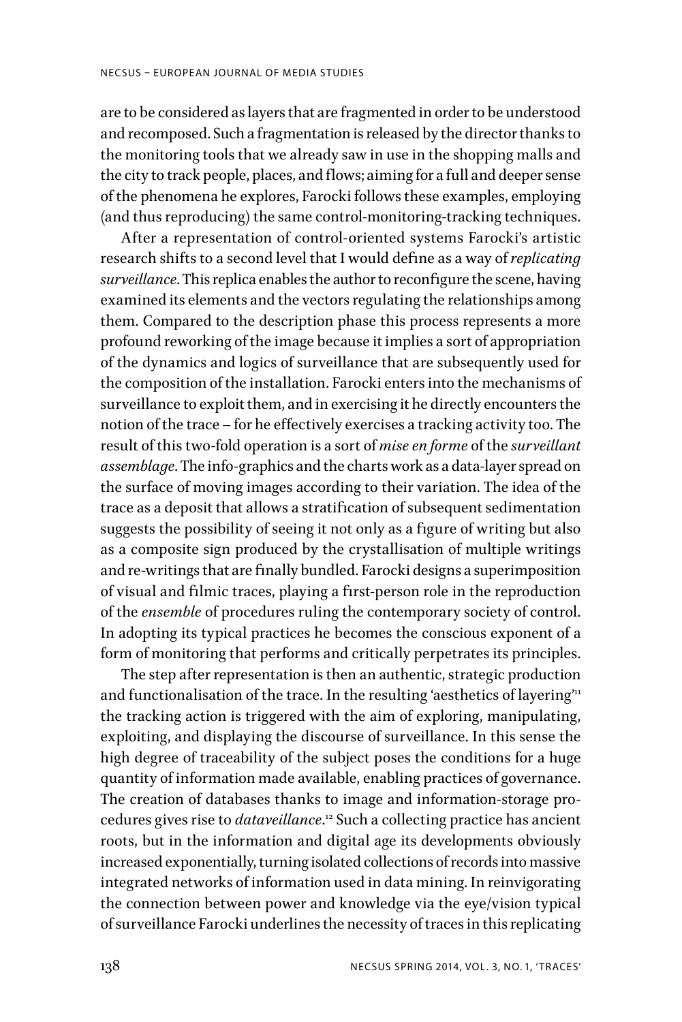are to be considered as layers that are fragmented in order to be understood and recomposed. Such a fragmentation is released by the director thanks to the monitoring tools that we already saw in use in the shopping malls and the city to track people, places, and flows; aiming for a full and deeper sense of the phenomena he explores, Farocki follows these examples, employing (and thus reproducing) the same control-monitoring-tracking techniques.

After a representation of control-oriented systems Farocki's artistic research shifts to a second level that I would define as a way of *replicating surveillance*. This replica enables the author to reconfigure the scene, having examined its elements and the vectors regulating the relationships among them. Compared to the description phase this process represents a more profound reworking of the image because it implies a sort of appropriation of the dynamics and logics of surveillance that are subsequently used for the composition of the installation. Farocki enters into the mechanisms of surveillance to exploit them, and in exercising it he directly encounters the notion of the trace – for he effectively exercises a tracking activity too. The result of this two-fold operation is a sort of *mise en forme* of the *surveillant assemblage*. The info-graphics and the charts work as a data-layer spread on the surface of moving images according to their variation. The idea of the trace as a deposit that allows a stratification of subsequent sedimentation suggests the possibility of seeing it not only as a figure of writing but also as a composite sign produced by the crystallisation of multiple writings and re-writings that are finally bundled. Farocki designs a superimposition of visual and filmic traces, playing a first-person role in the reproduction of the *ensemble* of procedures ruling the contemporary society of control. In adopting its typical practices he becomes the conscious exponent of a form of monitoring that performs and critically perpetrates its principles.

The step after representation is then an authentic, strategic production and functionalisation of the trace. In the resulting 'aesthetics of layering"<sup>11</sup> the tracking action is triggered with the aim of exploring, manipulating, exploiting, and displaying the discourse of surveillance. In this sense the high degree of traceability of the subject poses the conditions for a huge quantity of information made available, enabling practices of governance. The creation of databases thanks to image and information-storage procedures gives rise to *dataveillance*. 12 Such a collecting practice has ancient roots, but in the information and digital age its developments obviously increased exponentially, turning isolated collections of records into massive integrated networks of information used in data mining. In reinvigorating the connection between power and knowledge via the eye/vision typical of surveillance Farocki underlines the necessity of traces in this replicating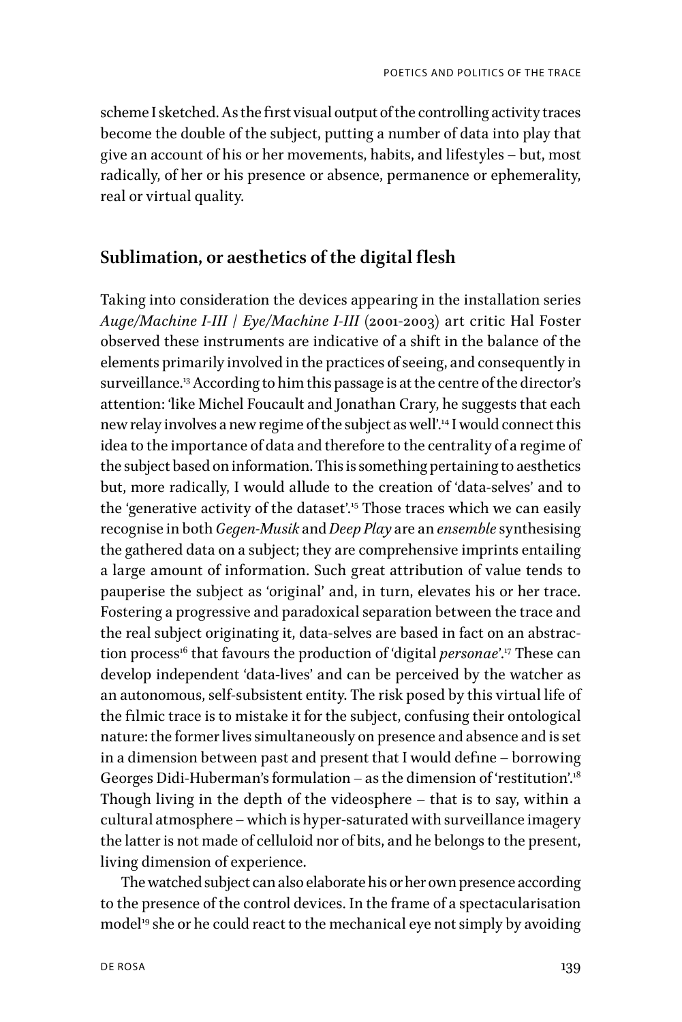scheme I sketched. As the first visual output of the controlling activity traces become the double of the subject, putting a number of data into play that give an account of his or her movements, habits, and lifestyles – but, most radically, of her or his presence or absence, permanence or ephemerality, real or virtual quality.

### **Sublimation, or aesthetics of the digital flesh**

Taking into consideration the devices appearing in the installation series *Auge/Machine I-III* / *Eye/Machine I-III* (2001-2003) art critic Hal Foster observed these instruments are indicative of a shift in the balance of the elements primarily involved in the practices of seeing, and consequently in surveillance.<sup>13</sup> According to him this passage is at the centre of the director's attention: 'like Michel Foucault and Jonathan Crary, he suggests that each new relay involves a new regime of the subject as well'.<sup>14</sup> I would connect this idea to the importance of data and therefore to the centrality of a regime of the subject based on information. This is something pertaining to aesthetics but, more radically, I would allude to the creation of 'data-selves' and to the 'generative activity of the dataset'.15 Those traces which we can easily recognise in both *Gegen-Musik* and *Deep Play* are an *ensemble* synthesising the gathered data on a subject; they are comprehensive imprints entailing a large amount of information. Such great attribution of value tends to pauperise the subject as 'original' and, in turn, elevates his or her trace. Fostering a progressive and paradoxical separation between the trace and the real subject originating it, data-selves are based in fact on an abstraction process<sup>16</sup> that favours the production of 'digital *personae*'.<sup>17</sup> These can develop independent 'data-lives' and can be perceived by the watcher as an autonomous, self-subsistent entity. The risk posed by this virtual life of the filmic trace is to mistake it for the subject, confusing their ontological nature: the former lives simultaneously on presence and absence and is set in a dimension between past and present that I would define – borrowing Georges Didi-Huberman's formulation – as the dimension of 'restitution'.<sup>18</sup> Though living in the depth of the videosphere – that is to say, within a cultural atmosphere – which is hyper-saturated with surveillance imagery the latter is not made of celluloid nor of bits, and he belongs to the present, living dimension of experience.

The watched subject can also elaborate his or her own presence according to the presence of the control devices. In the frame of a spectacularisation model<sup>19</sup> she or he could react to the mechanical eye not simply by avoiding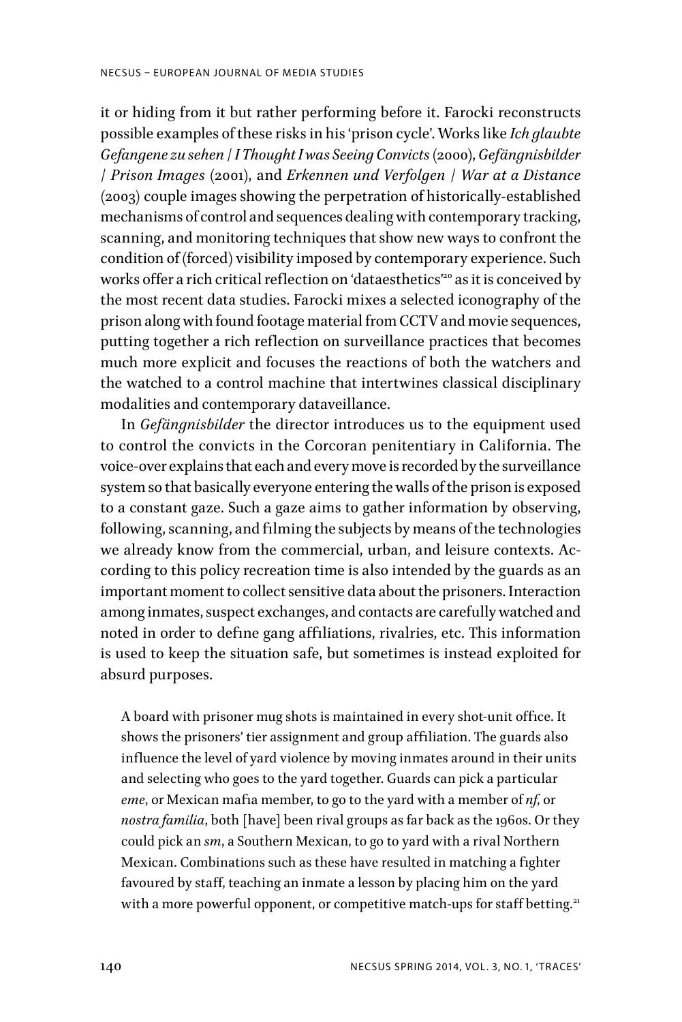it or hiding from it but rather performing before it. Farocki reconstructs possible examples of these risks in his 'prison cycle'. Works like *Ich glaubte Gefangene zu sehen* / *I Thought I was Seeing Convicts* (2000), *Gefängnisbilder* / *Prison Images* (2001), and *Erkennen und Verfolgen* / *War at a Distance* (2003) couple images showing the perpetration of historically-established mechanisms of control and sequences dealing with contemporary tracking, scanning, and monitoring techniques that show new ways to confront the condition of (forced) visibility imposed by contemporary experience. Such works offer a rich critical reflection on 'dataesthetics'<sup>20</sup> as it is conceived by the most recent data studies. Farocki mixes a selected iconography of the prison along with found footage material from CCTV and movie sequences, putting together a rich reflection on surveillance practices that becomes much more explicit and focuses the reactions of both the watchers and the watched to a control machine that intertwines classical disciplinary modalities and contemporary dataveillance.

In *Gefängnisbilder* the director introduces us to the equipment used to control the convicts in the Corcoran penitentiary in California. The voice-over explains that each and every move is recorded by the surveillance system so that basically everyone entering the walls of the prison is exposed to a constant gaze. Such a gaze aims to gather information by observing, following, scanning, and filming the subjects by means of the technologies we already know from the commercial, urban, and leisure contexts. According to this policy recreation time is also intended by the guards as an important moment to collect sensitive data about the prisoners. Interaction among inmates, suspect exchanges, and contacts are carefully watched and noted in order to define gang affiliations, rivalries, etc. This information is used to keep the situation safe, but sometimes is instead exploited for absurd purposes.

A board with prisoner mug shots is maintained in every shot-unit office. It shows the prisoners' tier assignment and group affiliation. The guards also influence the level of yard violence by moving inmates around in their units and selecting who goes to the yard together. Guards can pick a particular *eme*, or Mexican mafia member, to go to the yard with a member of *nf*, or *nostra familia*, both [have] been rival groups as far back as the 1960s. Or they could pick an *sm*, a Southern Mexican, to go to yard with a rival Northern Mexican. Combinations such as these have resulted in matching a fighter favoured by staff, teaching an inmate a lesson by placing him on the yard with a more powerful opponent, or competitive match-ups for staff betting.<sup>21</sup>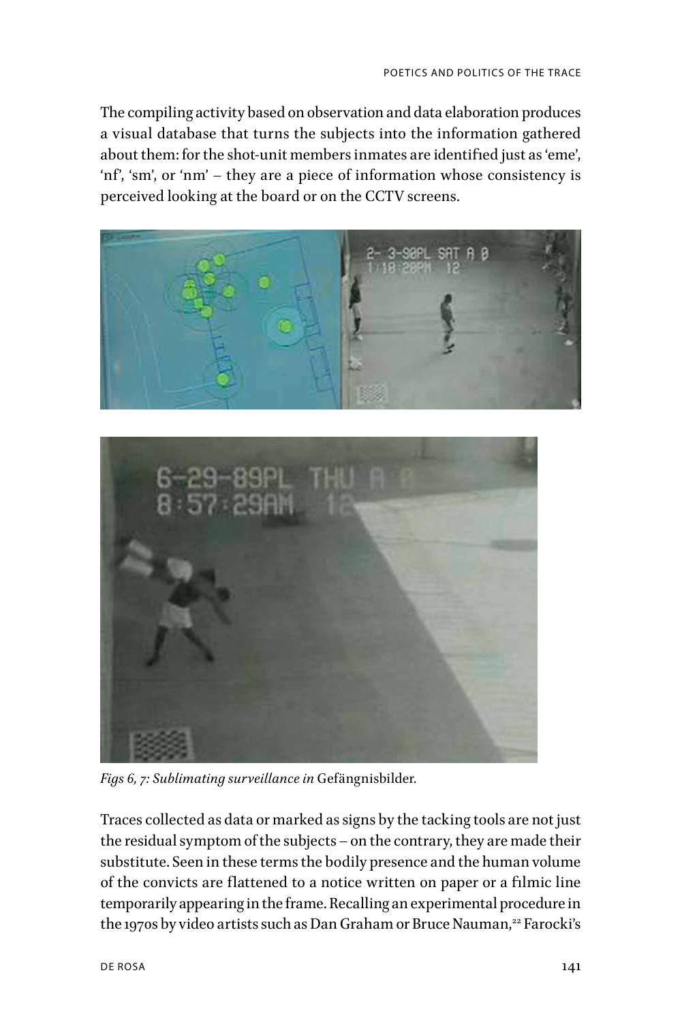The compiling activity based on observation and data elaboration produces a visual database that turns the subjects into the information gathered about them: for the shot-unit members inmates are identified just as 'eme', 'nf', 'sm', or 'nm' – they are a piece of information whose consistency is perceived looking at the board or on the CCTV screens.





*Figs 6, 7: Sublimating surveillance in* Gefängnisbilder*.*

Traces collected as data or marked as signs by the tacking tools are not just the residual symptom of the subjects – on the contrary, they are made their substitute. Seen in these terms the bodily presence and the human volume of the convicts are flattened to a notice written on paper or a filmic line temporarily appearing in the frame. Recalling an experimental procedure in the 1970s by video artists such as Dan Graham or Bruce Nauman,<sup>22</sup> Farocki's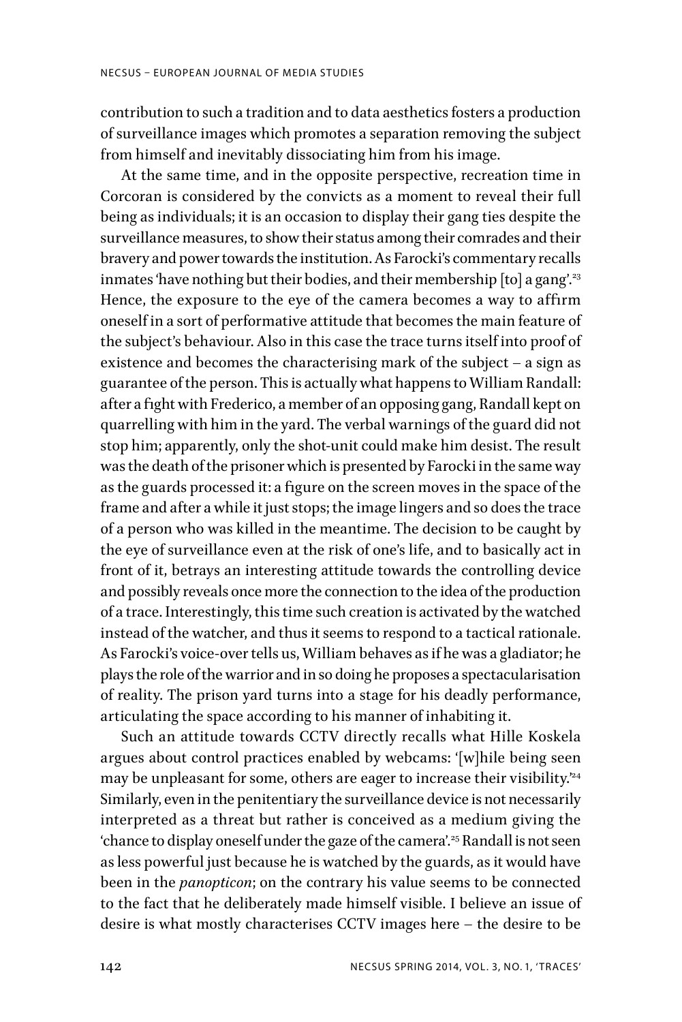contribution to such a tradition and to data aesthetics fosters a production of surveillance images which promotes a separation removing the subject from himself and inevitably dissociating him from his image.

At the same time, and in the opposite perspective, recreation time in Corcoran is considered by the convicts as a moment to reveal their full being as individuals; it is an occasion to display their gang ties despite the surveillance measures, to show their status among their comrades and their bravery and power towards the institution. As Farocki's commentary recalls inmates 'have nothing but their bodies, and their membership  $[$ to $]$  a gang'.<sup>23</sup> Hence, the exposure to the eye of the camera becomes a way to affirm oneself in a sort of performative attitude that becomes the main feature of the subject's behaviour. Also in this case the trace turns itself into proof of existence and becomes the characterising mark of the subject – a sign as guarantee of the person. This is actually what happens to William Randall: after a fight with Frederico, a member of an opposing gang, Randall kept on quarrelling with him in the yard. The verbal warnings of the guard did not stop him; apparently, only the shot-unit could make him desist. The result was the death of the prisoner which is presented by Farocki in the same way as the guards processed it: a figure on the screen moves in the space of the frame and after a while it just stops; the image lingers and so does the trace of a person who was killed in the meantime. The decision to be caught by the eye of surveillance even at the risk of one's life, and to basically act in front of it, betrays an interesting attitude towards the controlling device and possibly reveals once more the connection to the idea of the production of a trace. Interestingly, this time such creation is activated by the watched instead of the watcher, and thus it seems to respond to a tactical rationale. As Farocki's voice-over tells us, William behaves as if he was a gladiator; he plays the role of the warrior and in so doing he proposes a spectacularisation of reality. The prison yard turns into a stage for his deadly performance, articulating the space according to his manner of inhabiting it.

Such an attitude towards CCTV directly recalls what Hille Koskela argues about control practices enabled by webcams: '[w]hile being seen may be unpleasant for some, others are eager to increase their visibility."<sup>24</sup> Similarly, even in the penitentiary the surveillance device is not necessarily interpreted as a threat but rather is conceived as a medium giving the 'chance to display oneself under the gaze of the camera'.25 Randall is not seen as less powerful just because he is watched by the guards, as it would have been in the *panopticon*; on the contrary his value seems to be connected to the fact that he deliberately made himself visible. I believe an issue of desire is what mostly characterises CCTV images here – the desire to be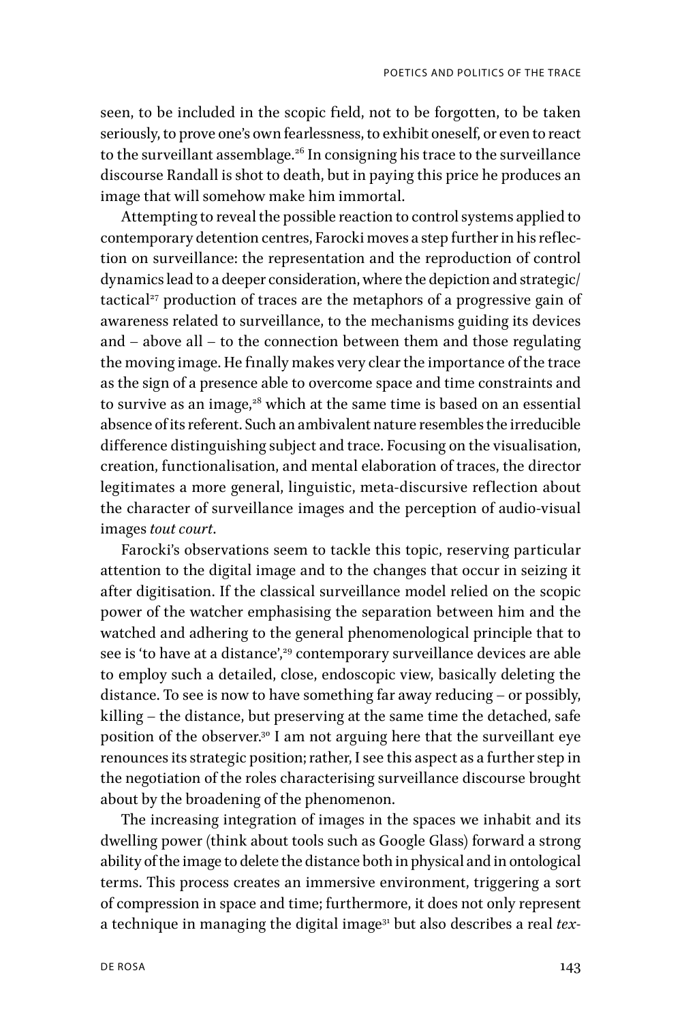seen, to be included in the scopic field, not to be forgotten, to be taken seriously, to prove one's own fearlessness, to exhibit oneself, or even to react to the surveillant assemblage.<sup>26</sup> In consigning his trace to the surveillance discourse Randall is shot to death, but in paying this price he produces an image that will somehow make him immortal.

Attempting to reveal the possible reaction to control systems applied to contemporary detention centres, Farocki moves a step further in his reflection on surveillance: the representation and the reproduction of control dynamics lead to a deeper consideration, where the depiction and strategic/ tactical $27$  production of traces are the metaphors of a progressive gain of awareness related to surveillance, to the mechanisms guiding its devices and – above all – to the connection between them and those regulating the moving image. He finally makes very clear the importance of the trace as the sign of a presence able to overcome space and time constraints and to survive as an image, $28$  which at the same time is based on an essential absence of its referent. Such an ambivalent nature resembles the irreducible difference distinguishing subject and trace. Focusing on the visualisation, creation, functionalisation, and mental elaboration of traces, the director legitimates a more general, linguistic, meta-discursive reflection about the character of surveillance images and the perception of audio-visual images *tout court*.

Farocki's observations seem to tackle this topic, reserving particular attention to the digital image and to the changes that occur in seizing it after digitisation. If the classical surveillance model relied on the scopic power of the watcher emphasising the separation between him and the watched and adhering to the general phenomenological principle that to see is 'to have at a distance',<sup>29</sup> contemporary surveillance devices are able to employ such a detailed, close, endoscopic view, basically deleting the distance. To see is now to have something far away reducing – or possibly, killing – the distance, but preserving at the same time the detached, safe position of the observer.<sup>30</sup> I am not arguing here that the surveillant eye renounces its strategic position; rather, I see this aspect as a further step in the negotiation of the roles characterising surveillance discourse brought about by the broadening of the phenomenon.

The increasing integration of images in the spaces we inhabit and its dwelling power (think about tools such as Google Glass) forward a strong ability of the image to delete the distance both in physical and in ontological terms. This process creates an immersive environment, triggering a sort of compression in space and time; furthermore, it does not only represent a technique in managing the digital image31 but also describes a real *tex-*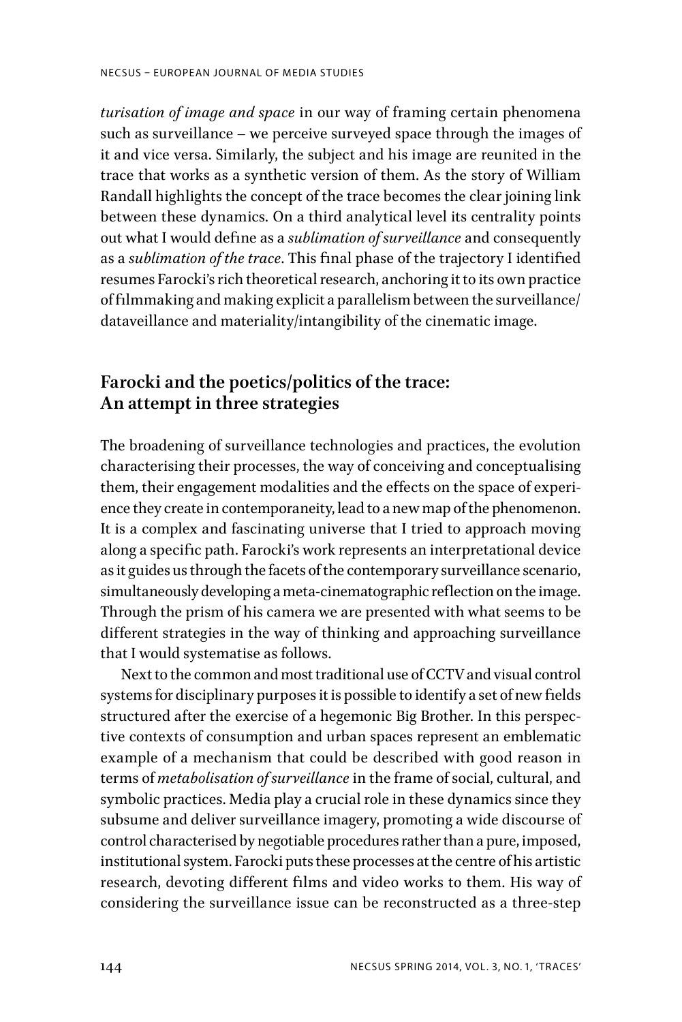*turisation of image and space* in our way of framing certain phenomena such as surveillance – we perceive surveyed space through the images of it and vice versa. Similarly, the subject and his image are reunited in the trace that works as a synthetic version of them. As the story of William Randall highlights the concept of the trace becomes the clear joining link between these dynamics. On a third analytical level its centrality points out what I would define as a *sublimation of surveillance* and consequently as a *sublimation of the trace*. This final phase of the trajectory I identified resumes Farocki's rich theoretical research, anchoring it to its own practice of filmmaking and making explicit a parallelism between the surveillance/ dataveillance and materiality/intangibility of the cinematic image.

# **Farocki and the poetics/politics of the trace: An attempt in three strategies**

The broadening of surveillance technologies and practices, the evolution characterising their processes, the way of conceiving and conceptualising them, their engagement modalities and the effects on the space of experience they create in contemporaneity, lead to a new map of the phenomenon. It is a complex and fascinating universe that I tried to approach moving along a specific path. Farocki's work represents an interpretational device as it guides us through the facets of the contemporary surveillance scenario, simultaneously developing a meta-cinematographic reflection on the image. Through the prism of his camera we are presented with what seems to be different strategies in the way of thinking and approaching surveillance that I would systematise as follows.

Next to the common and most traditional use of CCTV and visual control systems for disciplinary purposes it is possible to identify a set of new fields structured after the exercise of a hegemonic Big Brother. In this perspective contexts of consumption and urban spaces represent an emblematic example of a mechanism that could be described with good reason in terms of *metabolisation of surveillance* in the frame of social, cultural, and symbolic practices. Media play a crucial role in these dynamics since they subsume and deliver surveillance imagery, promoting a wide discourse of control characterised by negotiable procedures rather than a pure, imposed, institutional system. Farocki puts these processes at the centre of his artistic research, devoting different films and video works to them. His way of considering the surveillance issue can be reconstructed as a three-step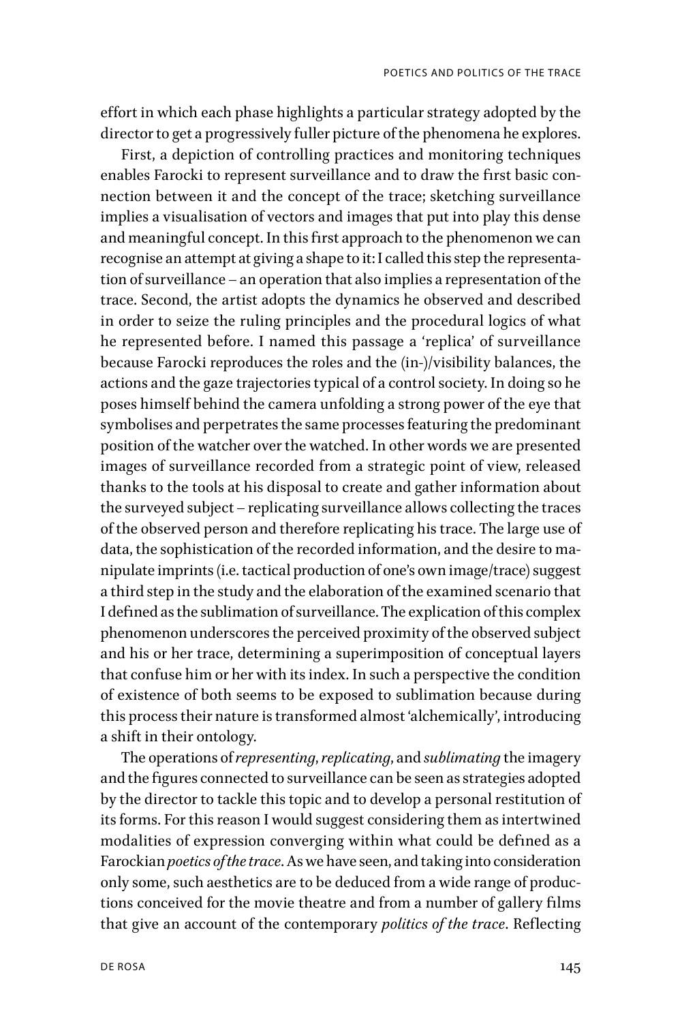effort in which each phase highlights a particular strategy adopted by the director to get a progressively fuller picture of the phenomena he explores.

First, a depiction of controlling practices and monitoring techniques enables Farocki to represent surveillance and to draw the first basic connection between it and the concept of the trace; sketching surveillance implies a visualisation of vectors and images that put into play this dense and meaningful concept. In this first approach to the phenomenon we can recognise an attempt at giving a shape to it: I called this step the representation of surveillance – an operation that also implies a representation of the trace. Second, the artist adopts the dynamics he observed and described in order to seize the ruling principles and the procedural logics of what he represented before. I named this passage a 'replica' of surveillance because Farocki reproduces the roles and the (in-)/visibility balances, the actions and the gaze trajectories typical of a control society. In doing so he poses himself behind the camera unfolding a strong power of the eye that symbolises and perpetrates the same processes featuring the predominant position of the watcher over the watched. In other words we are presented images of surveillance recorded from a strategic point of view, released thanks to the tools at his disposal to create and gather information about the surveyed subject – replicating surveillance allows collecting the traces of the observed person and therefore replicating his trace. The large use of data, the sophistication of the recorded information, and the desire to manipulate imprints (i.e. tactical production of one's own image/trace) suggest a third step in the study and the elaboration of the examined scenario that I defined as the sublimation of surveillance. The explication of this complex phenomenon underscores the perceived proximity of the observed subject and his or her trace, determining a superimposition of conceptual layers that confuse him or her with its index. In such a perspective the condition of existence of both seems to be exposed to sublimation because during this process their nature is transformed almost 'alchemically', introducing a shift in their ontology.

The operations of *representing*, *replicating*, and *sublimating* the imagery and the figures connected to surveillance can be seen as strategies adopted by the director to tackle this topic and to develop a personal restitution of its forms. For this reason I would suggest considering them as intertwined modalities of expression converging within what could be defined as a Farockian *poetics of the trace*. As we have seen, and taking into consideration only some, such aesthetics are to be deduced from a wide range of productions conceived for the movie theatre and from a number of gallery films that give an account of the contemporary *politics of the trace*. Reflecting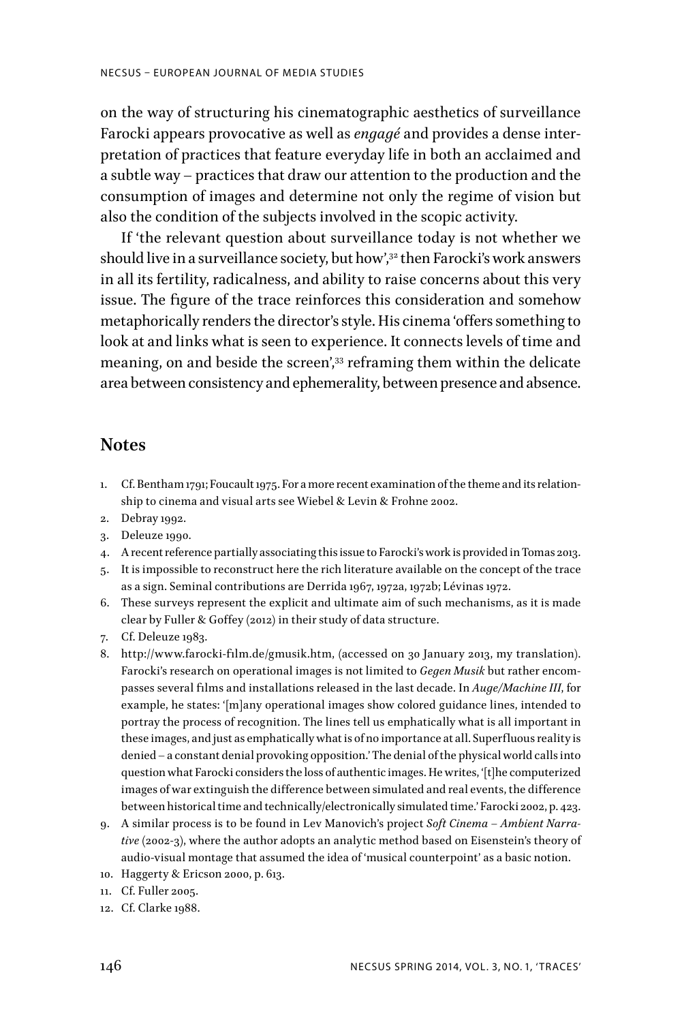on the way of structuring his cinematographic aesthetics of surveillance Farocki appears provocative as well as *engagé* and provides a dense interpretation of practices that feature everyday life in both an acclaimed and a subtle way – practices that draw our attention to the production and the consumption of images and determine not only the regime of vision but also the condition of the subjects involved in the scopic activity.

If 'the relevant question about surveillance today is not whether we should live in a surveillance society, but how',<sup>32</sup> then Farocki's work answers in all its fertility, radicalness, and ability to raise concerns about this very issue. The figure of the trace reinforces this consideration and somehow metaphorically renders the director's style. His cinema 'offers something to look at and links what is seen to experience. It connects levels of time and meaning, on and beside the screen',<sup>33</sup> reframing them within the delicate area between consistency and ephemerality, between presence and absence.

#### **Notes**

- 1. Cf. Bentham 1791; Foucault 1975. For a more recent examination of the theme and its relationship to cinema and visual arts see Wiebel & Levin & Frohne 2002.
- 2. Debray 1992.
- 3. Deleuze 1990.
- 4. A recent reference partially associating this issue to Farocki's work is provided in Tomas 2013.
- 5. It is impossible to reconstruct here the rich literature available on the concept of the trace as a sign. Seminal contributions are Derrida 1967, 1972a, 1972b; Lévinas 1972.
- 6. These surveys represent the explicit and ultimate aim of such mechanisms, as it is made clear by Fuller & Goffey (2012) in their study of data structure.
- 7. Cf. Deleuze 1983.
- 8. http://www.farocki-film.de/gmusik.htm, (accessed on 30 January 2013, my translation). Farocki's research on operational images is not limited to *Gegen Musik* but rather encompasses several films and installations released in the last decade. In *Auge/Machine III*, for example, he states: '[m]any operational images show colored guidance lines, intended to portray the process of recognition. The lines tell us emphatically what is all important in these images, and just as emphatically what is of no importance at all. Superfluous reality is denied – a constant denial provoking opposition.' The denial of the physical world calls into question what Farocki considers the loss of authentic images. He writes, '[t]he computerized images of war extinguish the difference between simulated and real events, the difference between historical time and technically/electronically simulated time.' Farocki 2002, p. 423.
- 9. A similar process is to be found in Lev Manovich's project *Soft Cinema Ambient Narrative* (2002-3), where the author adopts an analytic method based on Eisenstein's theory of audio-visual montage that assumed the idea of 'musical counterpoint' as a basic notion.
- 10. Haggerty & Ericson 2000, p. 613.
- 11. Cf. Fuller 2005.
- 12. Cf. Clarke 1988.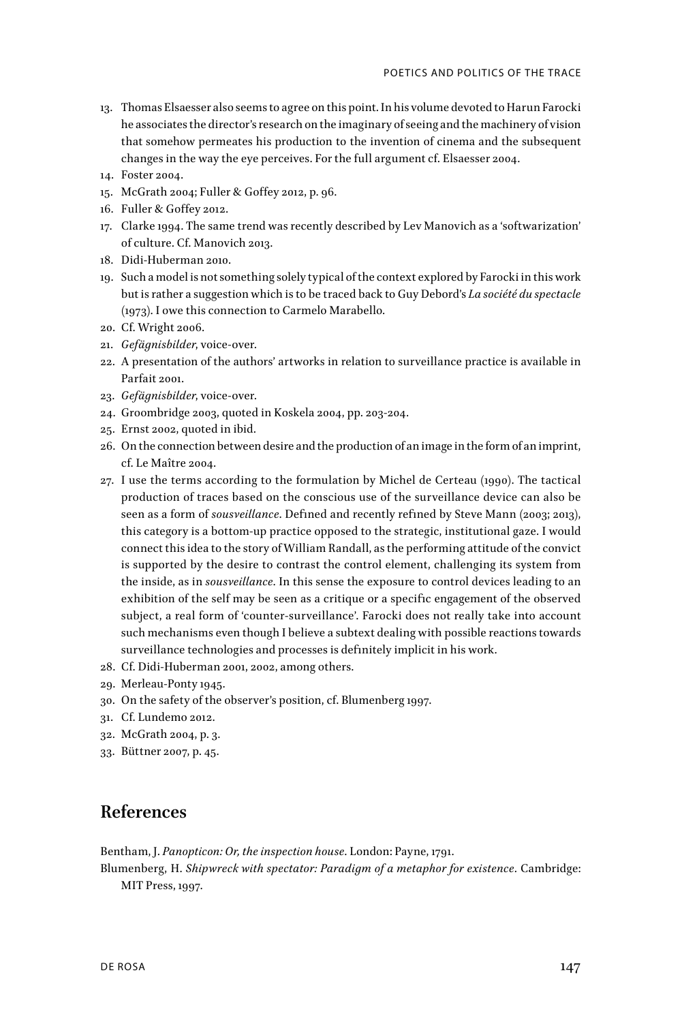- 13. Thomas Elsaesser also seems to agree on this point. In his volume devoted to Harun Farocki he associates the director's research on the imaginary of seeing and the machinery of vision that somehow permeates his production to the invention of cinema and the subsequent changes in the way the eye perceives. For the full argument cf. Elsaesser 2004.
- 14. Foster 2004.
- 15. McGrath 2004; Fuller & Goffey 2012, p. 96.
- 16. Fuller & Goffey 2012.
- 17. Clarke 1994. The same trend was recently described by Lev Manovich as a 'softwarization' of culture. Cf. Manovich 2013.
- 18. Didi-Huberman 2010.
- 19. Such a model is not something solely typical of the context explored by Farocki in this work but is rather a suggestion which is to be traced back to Guy Debord's *La société du spectacle*  (1973). I owe this connection to Carmelo Marabello.
- 20. Cf. Wright 2006.
- 21. *Gefägnisbilder*, voice-over.
- 22. A presentation of the authors' artworks in relation to surveillance practice is available in Parfait 2001.
- 23. *Gefägnisbilder*, voice-over.
- 24. Groombridge 2003, quoted in Koskela 2004, pp. 203-204.
- 25. Ernst 2002, quoted in ibid.
- 26. On the connection between desire and the production of an image in the form of an imprint, cf. Le Maître 2004.
- 27. I use the terms according to the formulation by Michel de Certeau (1990). The tactical production of traces based on the conscious use of the surveillance device can also be seen as a form of *sousveillance*. Defined and recently refined by Steve Mann (2003; 2013), this category is a bottom-up practice opposed to the strategic, institutional gaze. I would connect this idea to the story of William Randall, as the performing attitude of the convict is supported by the desire to contrast the control element, challenging its system from the inside, as in *sousveillance*. In this sense the exposure to control devices leading to an exhibition of the self may be seen as a critique or a specific engagement of the observed subject, a real form of 'counter-surveillance'. Farocki does not really take into account such mechanisms even though I believe a subtext dealing with possible reactions towards surveillance technologies and processes is definitely implicit in his work.
- 28. Cf. Didi-Huberman 2001, 2002, among others.
- 29. Merleau-Ponty 1945.
- 30. On the safety of the observer's position, cf. Blumenberg 1997.
- 31. Cf. Lundemo 2012.
- 32. McGrath 2004, p. 3.
- 33. Büttner 2007, p. 45.

# **References**

Bentham, J. *Panopticon: Or, the inspection house*. London: Payne, 1791.

Blumenberg, H. *Shipwreck with spectator: Paradigm of a metaphor for existence*. Cambridge: MIT Press, 1997.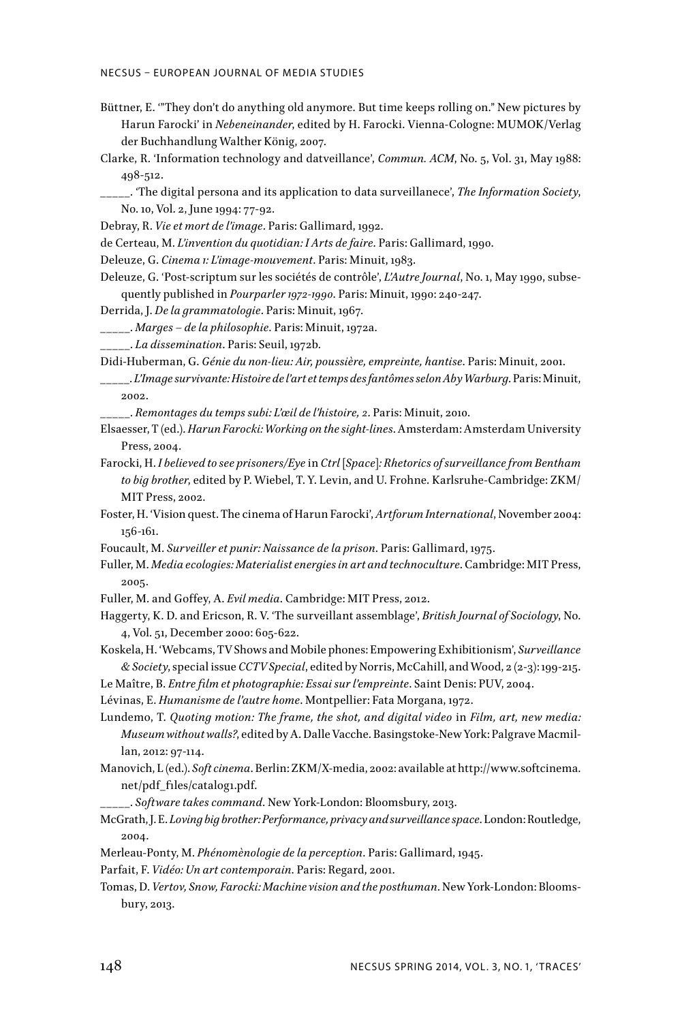- Büttner, E. '"They don't do anything old anymore. But time keeps rolling on." New pictures by Harun Farocki' in *Nebeneinander*, edited by H. Farocki. Vienna-Cologne: MUMOK/Verlag der Buchhandlung Walther König, 2007.
- Clarke, R. 'Information technology and datveillance', *Commun. ACM*, No. 5, Vol. 31, May 1988: 498-512.
- \_\_\_\_\_. 'The digital persona and its application to data surveillanece', *The Information Society*, No. 10, Vol. 2, June 1994: 77-92.

Debray, R. *Vie et mort de l'image*. Paris: Gallimard, 1992.

de Certeau, M. *L'invention du quotidian: I Arts de faire*. Paris: Gallimard, 1990.

- Deleuze, G. *Cinema 1: L'image-mouvement*. Paris: Minuit, 1983.
- Deleuze, G. 'Post-scriptum sur les sociétés de contrôle', *L'Autre Journal*, No. 1, May 1990, subsequently published in *Pourparler 1972-1990*. Paris: Minuit, 1990: 240-247.
- Derrida, J. *De la grammatologie*. Paris: Minuit, 1967.
- \_\_\_\_\_. *Marges de la philosophie*. Paris: Minuit, 1972a.
- \_\_\_\_\_. *La dissemination*. Paris: Seuil, 1972b.

Didi-Huberman, G. *Génie du non-lieu: Air, poussière, empreinte, hantise*. Paris: Minuit, 2001.

\_\_\_\_\_. *L'Image survivante: Histoire de l'art et temps des fantômes selon Aby Warburg*. Paris: Minuit, 2002.

\_\_\_\_\_. *Remontages du temps subi: L'œil de l'histoire, 2*. Paris: Minuit, 2010.

- Elsaesser, T (ed.). *Harun Farocki: Working on the sight-lines*. Amsterdam: Amsterdam University Press, 2004.
- Farocki, H. *I believed to see prisoners/Eye* in *Ctrl [Space]: Rhetorics of surveillance from Bentham to big brother*, edited by P. Wiebel, T. Y. Levin, and U. Frohne. Karlsruhe-Cambridge: ZKM/ MIT Press, 2002.
- Foster, H. 'Vision quest. The cinema of Harun Farocki', *Artforum International*, November 2004: 156-161.
- Foucault, M. *Surveiller et punir: Naissance de la prison*. Paris: Gallimard, 1975.
- Fuller, M. *Media ecologies: Materialist energies in art and technoculture*. Cambridge: MIT Press, 2005.
- Fuller, M. and Goffey, A. *Evil media*. Cambridge: MIT Press, 2012.
- Haggerty, K. D. and Ericson, R. V. 'The surveillant assemblage', *British Journal of Sociology*, No. 4, Vol. 51, December 2000: 605-622.
- Koskela, H. 'Webcams, TV Shows and Mobile phones: Empowering Exhibitionism', *Surveillance & Society*, special issue *CCTV Special*, edited by Norris, McCahill, and Wood, 2 (2-3): 199-215.
- Le Maître, B. *Entre film et photographie: Essai sur l'empreinte*. Saint Denis: PUV, 2004.

Lévinas, E. *Humanisme de l'autre home*. Montpellier: Fata Morgana, 1972.

- Lundemo, T. *Quoting motion: The frame, the shot, and digital video* in *Film, art, new media: Museum without walls?*, edited by A. Dalle Vacche. Basingstoke-New York: Palgrave Macmillan, 2012: 97-114.
- Manovich, L (ed.). *Soft cinema*. Berlin: ZKM/X-media, 2002: available at http://www.softcinema. net/pdf\_files/catalog1.pdf.
	- \_\_\_\_\_. *Software takes command*. New York-London: Bloomsbury, 2013.
- McGrath, J. E. *Loving big brother: Performance, privacy and surveillance space*. London: Routledge, 2004.
- Merleau-Ponty, M. *Phénomènologie de la perception*. Paris: Gallimard, 1945.
- Parfait, F. *Vidéo: Un art contemporain*. Paris: Regard, 2001.
- Tomas, D. *Vertov, Snow, Farocki: Machine vision and the posthuman*. New York-London: Bloomsbury, 2013.